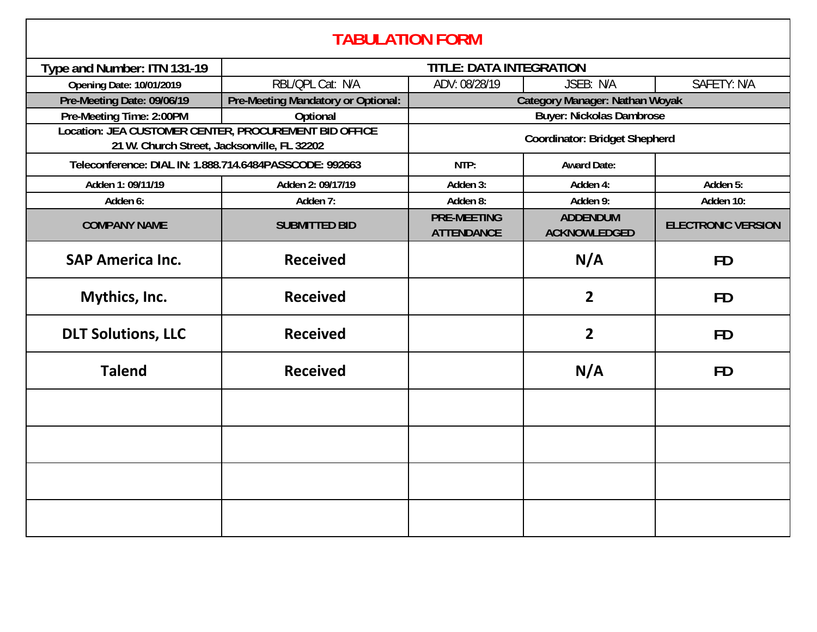| <b>TABULATION FORM</b>                                                                               |                                    |                                         |                                        |                           |  |  |
|------------------------------------------------------------------------------------------------------|------------------------------------|-----------------------------------------|----------------------------------------|---------------------------|--|--|
| Type and Number: ITN 131-19                                                                          | <b>TITLE: DATA INTEGRATION</b>     |                                         |                                        |                           |  |  |
| <b>Opening Date: 10/01/2019</b>                                                                      | RBL/QPL Cat: N/A                   | ADV: 08/28/19                           | JSEB: N/A                              | <b>SAFETY: N/A</b>        |  |  |
| Pre-Meeting Date: 09/06/19                                                                           | Pre-Meeting Mandatory or Optional: | <b>Category Manager: Nathan Woyak</b>   |                                        |                           |  |  |
| Pre-Meeting Time: 2:00PM                                                                             | Optional                           | <b>Buyer: Nickolas Dambrose</b>         |                                        |                           |  |  |
| Location: JEA CUSTOMER CENTER, PROCUREMENT BID OFFICE<br>21 W. Church Street, Jacksonville, FL 32202 |                                    | <b>Coordinator: Bridget Shepherd</b>    |                                        |                           |  |  |
| Teleconference: DIAL IN: 1.888.714.6484PASSCODE: 992663                                              |                                    | NTP:                                    | <b>Award Date:</b>                     |                           |  |  |
| Adden 1: 09/11/19                                                                                    | Adden 2: 09/17/19                  | Adden 3:                                | Adden 4:                               | Adden 5:                  |  |  |
| Adden 6:                                                                                             | Adden 7:                           | Adden 8:                                | Adden 9:                               | Adden 10:                 |  |  |
| <b>COMPANY NAME</b>                                                                                  | <b>SUBMITTED BID</b>               | <b>PRE-MEETING</b><br><b>ATTENDANCE</b> | <b>ADDENDUM</b><br><b>ACKNOWLEDGED</b> | <b>ELECTRONIC VERSION</b> |  |  |
| <b>SAP America Inc.</b>                                                                              | <b>Received</b>                    |                                         | N/A                                    | <b>FD</b>                 |  |  |
| Mythics, Inc.                                                                                        | <b>Received</b>                    |                                         | $\overline{2}$                         | <b>FD</b>                 |  |  |
| <b>DLT Solutions, LLC</b>                                                                            | <b>Received</b>                    |                                         | $\overline{2}$                         | <b>FD</b>                 |  |  |
| <b>Talend</b>                                                                                        | <b>Received</b>                    |                                         | N/A                                    | <b>FD</b>                 |  |  |
|                                                                                                      |                                    |                                         |                                        |                           |  |  |
|                                                                                                      |                                    |                                         |                                        |                           |  |  |
|                                                                                                      |                                    |                                         |                                        |                           |  |  |
|                                                                                                      |                                    |                                         |                                        |                           |  |  |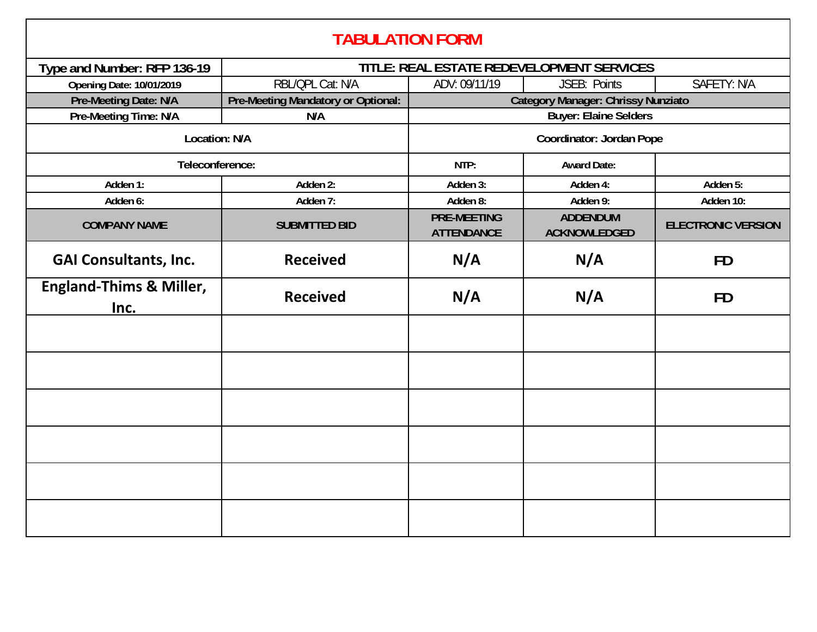| <b>TABULATION FORM</b>                     |                                           |                                           |                                        |                           |  |  |
|--------------------------------------------|-------------------------------------------|-------------------------------------------|----------------------------------------|---------------------------|--|--|
| Type and Number: RFP 136-19                | TITLE: REAL ESTATE REDEVELOPMENT SERVICES |                                           |                                        |                           |  |  |
| <b>Opening Date: 10/01/2019</b>            | RBL/QPL Cat: N/A                          | ADV: 09/11/19                             | JSEB: Points                           | SAFETY: N/A               |  |  |
| Pre-Meeting Date: N/A                      | Pre-Meeting Mandatory or Optional:        | <b>Category Manager: Chrissy Nunziato</b> |                                        |                           |  |  |
| Pre-Meeting Time: N/A                      | N/A                                       | <b>Buyer: Elaine Selders</b>              |                                        |                           |  |  |
| Location: N/A                              |                                           | <b>Coordinator: Jordan Pope</b>           |                                        |                           |  |  |
| Teleconference:                            |                                           | NTP:                                      | <b>Award Date:</b>                     |                           |  |  |
| Adden 1:                                   | Adden 2:                                  | Adden 3:                                  | Adden 4:                               | Adden 5:                  |  |  |
| Adden 6:                                   | Adden 7:                                  | Adden 8:                                  | Adden 9:                               | Adden 10:                 |  |  |
| <b>COMPANY NAME</b>                        | <b>SUBMITTED BID</b>                      | <b>PRE-MEETING</b><br><b>ATTENDANCE</b>   | <b>ADDENDUM</b><br><b>ACKNOWLEDGED</b> | <b>ELECTRONIC VERSION</b> |  |  |
| <b>GAI Consultants, Inc.</b>               | <b>Received</b>                           | N/A                                       | N/A                                    | <b>FD</b>                 |  |  |
| <b>England-Thims &amp; Miller,</b><br>Inc. | <b>Received</b>                           | N/A                                       | N/A                                    | <b>FD</b>                 |  |  |
|                                            |                                           |                                           |                                        |                           |  |  |
|                                            |                                           |                                           |                                        |                           |  |  |
|                                            |                                           |                                           |                                        |                           |  |  |
|                                            |                                           |                                           |                                        |                           |  |  |
|                                            |                                           |                                           |                                        |                           |  |  |
|                                            |                                           |                                           |                                        |                           |  |  |